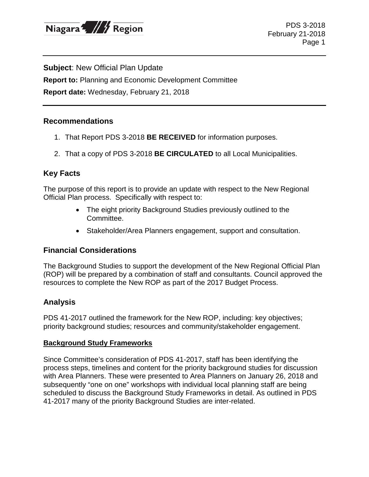

**Subject**: New Official Plan Update

**Report to:** Planning and Economic Development Committee

**Report date:** Wednesday, February 21, 2018

### **Recommendations**

- 1. That Report PDS 3-2018 **BE RECEIVED** for information purposes.
- 2. That a copy of PDS 3-2018 **BE CIRCULATED** to all Local Municipalities.

# **Key Facts**

The purpose of this report is to provide an update with respect to the New Regional Official Plan process. Specifically with respect to:

- The eight priority Background Studies previously outlined to the Committee.
- Stakeholder/Area Planners engagement, support and consultation.

# **Financial Considerations**

The Background Studies to support the development of the New Regional Official Plan (ROP) will be prepared by a combination of staff and consultants. Council approved the resources to complete the New ROP as part of the 2017 Budget Process.

# **Analysis**

PDS 41-2017 outlined the framework for the New ROP, including: key objectives; priority background studies; resources and community/stakeholder engagement.

#### **Background Study Frameworks**

Since Committee's consideration of PDS 41-2017, staff has been identifying the process steps, timelines and content for the priority background studies for discussion with Area Planners. These were presented to Area Planners on January 26, 2018 and subsequently "one on one" workshops with individual local planning staff are being scheduled to discuss the Background Study Frameworks in detail. As outlined in PDS 41-2017 many of the priority Background Studies are inter-related.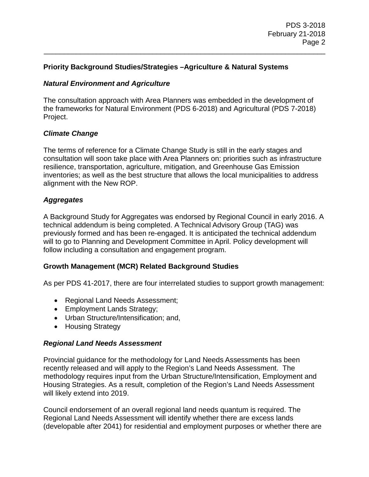### **Priority Background Studies/Strategies –Agriculture & Natural Systems**

#### *Natural Environment and Agriculture*

The consultation approach with Area Planners was embedded in the development of the frameworks for Natural Environment (PDS 6-2018) and Agricultural (PDS 7-2018) Project.

\_\_\_\_\_\_\_\_\_\_\_\_\_\_\_\_\_\_\_\_\_\_\_\_\_\_\_\_\_\_\_\_\_\_\_\_\_\_\_\_\_\_\_\_\_\_\_\_\_\_\_\_\_\_\_\_\_\_\_\_\_\_\_\_\_\_\_\_\_\_

#### *Climate Change*

The terms of reference for a Climate Change Study is still in the early stages and consultation will soon take place with Area Planners on: priorities such as infrastructure resilience, transportation, agriculture, mitigation, and Greenhouse Gas Emission inventories; as well as the best structure that allows the local municipalities to address alignment with the New ROP.

### *Aggregates*

A Background Study for Aggregates was endorsed by Regional Council in early 2016. A technical addendum is being completed. A Technical Advisory Group (TAG) was previously formed and has been re-engaged. It is anticipated the technical addendum will to go to Planning and Development Committee in April. Policy development will follow including a consultation and engagement program.

#### **Growth Management (MCR) Related Background Studies**

As per PDS 41-2017, there are four interrelated studies to support growth management:

- Regional Land Needs Assessment;
- Employment Lands Strategy;
- Urban Structure/Intensification; and,
- Housing Strategy

#### *Regional Land Needs Assessment*

Provincial guidance for the methodology for Land Needs Assessments has been recently released and will apply to the Region's Land Needs Assessment. The methodology requires input from the Urban Structure/Intensification, Employment and Housing Strategies. As a result, completion of the Region's Land Needs Assessment will likely extend into 2019.

Council endorsement of an overall regional land needs quantum is required. The Regional Land Needs Assessment will identify whether there are excess lands (developable after 2041) for residential and employment purposes or whether there are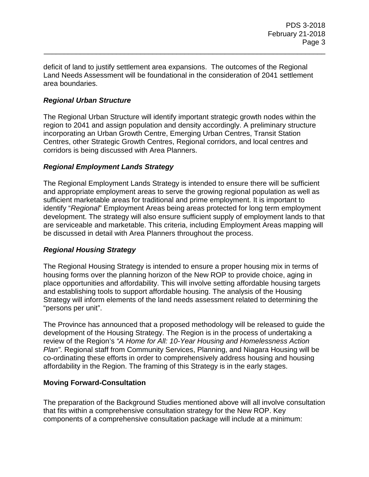deficit of land to justify settlement area expansions. The outcomes of the Regional Land Needs Assessment will be foundational in the consideration of 2041 settlement area boundaries.

\_\_\_\_\_\_\_\_\_\_\_\_\_\_\_\_\_\_\_\_\_\_\_\_\_\_\_\_\_\_\_\_\_\_\_\_\_\_\_\_\_\_\_\_\_\_\_\_\_\_\_\_\_\_\_\_\_\_\_\_\_\_\_\_\_\_\_\_\_\_

# *Regional Urban Structure*

The Regional Urban Structure will identify important strategic growth nodes within the region to 2041 and assign population and density accordingly. A preliminary structure incorporating an Urban Growth Centre, Emerging Urban Centres, Transit Station Centres, other Strategic Growth Centres, Regional corridors, and local centres and corridors is being discussed with Area Planners.

# *Regional Employment Lands Strategy*

The Regional Employment Lands Strategy is intended to ensure there will be sufficient and appropriate employment areas to serve the growing regional population as well as sufficient marketable areas for traditional and prime employment. It is important to identify "*Regional*" Employment Areas being areas protected for long term employment development. The strategy will also ensure sufficient supply of employment lands to that are serviceable and marketable. This criteria, including Employment Areas mapping will be discussed in detail with Area Planners throughout the process.

# *Regional Housing Strategy*

The Regional Housing Strategy is intended to ensure a proper housing mix in terms of housing forms over the planning horizon of the New ROP to provide choice, aging in place opportunities and affordability. This will involve setting affordable housing targets and establishing tools to support affordable housing. The analysis of the Housing Strategy will inform elements of the land needs assessment related to determining the "persons per unit".

The Province has announced that a proposed methodology will be released to guide the development of the Housing Strategy. The Region is in the process of undertaking a review of the Region's *"A Home for All: 10-Year Housing and Homelessness Action Plan"*. Regional staff from Community Services, Planning, and Niagara Housing will be co-ordinating these efforts in order to comprehensively address housing and housing affordability in the Region. The framing of this Strategy is in the early stages.

# **Moving Forward-Consultation**

The preparation of the Background Studies mentioned above will all involve consultation that fits within a comprehensive consultation strategy for the New ROP. Key components of a comprehensive consultation package will include at a minimum: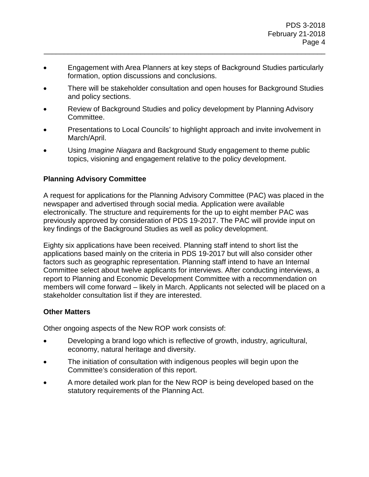• Engagement with Area Planners at key steps of Background Studies particularly formation, option discussions and conclusions.

\_\_\_\_\_\_\_\_\_\_\_\_\_\_\_\_\_\_\_\_\_\_\_\_\_\_\_\_\_\_\_\_\_\_\_\_\_\_\_\_\_\_\_\_\_\_\_\_\_\_\_\_\_\_\_\_\_\_\_\_\_\_\_\_\_\_\_\_\_\_

- There will be stakeholder consultation and open houses for Background Studies and policy sections.
- Review of Background Studies and policy development by Planning Advisory Committee.
- Presentations to Local Councils' to highlight approach and invite involvement in March/April.
- Using *Imagine Niagara* and Background Study engagement to theme public topics, visioning and engagement relative to the policy development.

# **Planning Advisory Committee**

A request for applications for the Planning Advisory Committee (PAC) was placed in the newspaper and advertised through social media. Application were available electronically. The structure and requirements for the up to eight member PAC was previously approved by consideration of PDS 19-2017. The PAC will provide input on key findings of the Background Studies as well as policy development.

Eighty six applications have been received. Planning staff intend to short list the applications based mainly on the criteria in PDS 19-2017 but will also consider other factors such as geographic representation. Planning staff intend to have an Internal Committee select about twelve applicants for interviews. After conducting interviews, a report to Planning and Economic Development Committee with a recommendation on members will come forward – likely in March. Applicants not selected will be placed on a stakeholder consultation list if they are interested.

# **Other Matters**

Other ongoing aspects of the New ROP work consists of:

- Developing a brand logo which is reflective of growth, industry, agricultural, economy, natural heritage and diversity.
- The initiation of consultation with indigenous peoples will begin upon the Committee's consideration of this report.
- A more detailed work plan for the New ROP is being developed based on the statutory requirements of the Planning Act.